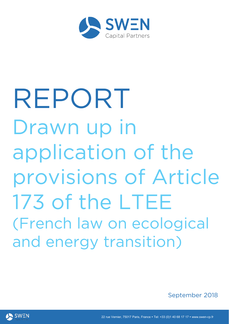

# REPORT Drawn up in application of the provisions of Article 173 of the LTEE (French law on ecological and energy transition)

September 2018

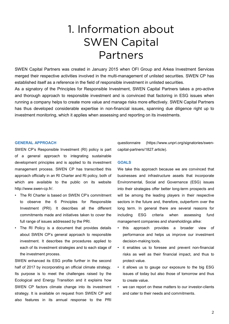# 1. Information about SWEN Capital Partners

SWEN Capital Partners was created in January 2015 when OFI Group and Arkea Investment Services merged their respective activities involved in the multi-management of unlisted securities. SWEN CP has established itself as a reference in the field of responsible investment in unlisted securities. As a signatory of the Principles for Responsible Investment, SWEN Capital Partners takes a pro-active and thorough approach to responsible investment and is convinced that factoring in ESG issues when running a company helps to create more value and manage risks more effectively. SWEN Capital Partners has thus developed considerable expertise in non-financial issues, spanning due diligence right up to investment monitoring, which it applies when assessing and reporting on its investments.

#### **GENERAL APPROACH**

SWEN CP's Responsible Investment (RI) policy is part of a general approach to integrating sustainable development principles and is applied to its investment management process. SWEN CP has transcribed this approach officially in an RI Charter and RI policy, both of which are available to the public on its website http://www.swen-cp.fr/.

- The RI Charter is based on SWEN CP's commitment to observe the 6 Principles for Responsible Investment (PRI). It describes all the different commitments made and initiatives taken to cover the full range of issues addressed by the PRI.
- The RI Policy is a document that provides details about SWEN CP's general approach to responsible investment. It describes the procedures applied to each of its investment strategies and to each stage of the investment process.

SWEN enhanced its ESG profile further in the second half of 2017 by incorporating an official climate strategy. Its purpose is to meet the challenges raised by the Ecological and Energy Transition and it explains how SWEN CP factors climate change into its investment strategy. It is available on request from SWEN CP and also features in its annual response to the PRI questionnaire (https://www.unpri.org/signatories/swencapital-partners/1827.article).

#### **GOALS**

We take this approach because we are convinced that businesses and infrastructure assets that incorporate Environmental, Social and Governance (ESG) issues into their strategies offer better long-term prospects and will be among the leading players in their respective sectors in the future and, therefore, outperform over the long term. In general there are several reasons for including ESG criteria when assessing fund management companies and shareholdings alike:

- this approach provides a broader view of performance and helps us improve our investment decision-making tools.
- it enables us to foresee and prevent non-financial risks as well as their financial impact, and thus to protect value.
- it allows us to gauge our exposure to the big ESG issues of today but also those of tomorrow and thus to create value.
- we can report on these matters to our investor-clients and cater to their needs and commitments.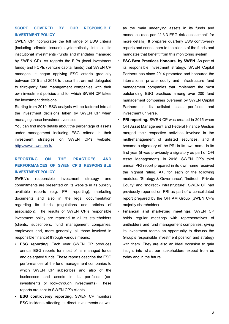### **SCOPE COVERED BY OUR RESPONSIBLE INVESTMENT POLICY**

SWEN CP incorporates the full range of ESG criteria (including climate issues) systematically into all its institutional investments (funds and mandates managed by SWEN CP). As regards the FIPs (local investment funds) and FCPIs (venture capital funds) that SWEN CP manages, it began applying ESG criteria gradually between 2015 and 2018 to those that are not delegated to third-party fund management companies with their own investment policies and for which SWEN CP takes the investment decisions.

Starting from 2019, ESG analysis will be factored into all the investment decisions taken by SWEN CP when managing these investment vehicles.

You can find more details about the percentage of assets under management including ESG criteria in their investment strategies on SWEN CP's website: <http://www.swen-cp.fr/>

# **REPORTING ON THE PRACTICES AND PERFORMANCES OF SWEN CP'S RESPONSIBLE INVESTMENT POLICY**

SWEN's responsible investment strategy and commitments are presented on its website in its publicly available reports (e.g. PRI reporting), marketing documents and also in the legal documentation regarding its funds (regulations and articles of association). The results of SWEN CP's responsible investment policy are reported to all its stakeholders (clients, subscribers, fund management companies, employees and, more generally, all those involved in responsible finance) through various means:

- **ESG reporting**. Each year SWEN CP produces annual ESG reports for most of its managed funds and delegated funds. These reports describe the ESG performances of the fund management companies to which SWEN CP subscribes and also of the businesses and assets in its portfolios (coinvestments or look-through investments). These reports are sent to SWEN CP's clients.
- **ESG controversy reporting.** SWEN CP monitors ESG incidents affecting its direct investments as well

as the main underlying assets in its funds and mandates (see part "2.3.3 ESG risk assessment" for more details). It prepares quarterly ESG controversy reports and sends them to the clients of the funds and mandates that benefit from this monitoring system.

- **ESG Best Practices Honours, by SWEN**. As part of its responsible investment strategy, SWEN Capital Partners has since 2014 promoted and honoured the international private equity and infrastructure fund management companies that implement the most outstanding ESG practices among over 200 fund management companies overseen by SWEN Capital Partners in its unlisted asset portfolios and investment universe.
- **PRI reporting.** SWEN CP was created in 2015 when OFI Asset Management and Federal Finance Gestion merged their respective activities involved in the multi-management of unlisted securities, and it became a signatory of the PRI in its own name in its first year (it was previously a signatory as part of OFI Asset Management). In 2018, SWEN CP's third annual PRI report prepared in its own name received the highest rating, A+, for each of the following modules: "Strategy & Governance", "Indirect - Private Equity" and "Indirect - Infrastructure". SWEN CP had previously reported on PRI as part of a consolidated report prepared by the OFI AM Group (SWEN CP's majority shareholder).
- **Financial and marketing meetings**. SWEN CP holds regular meetings with representatives of unitholders and fund management companies, giving its investment teams an opportunity to discuss the Group's responsible investment position and strategy with them. They are also an ideal occasion to gain insight into what our stakeholders expect from us today and in the future.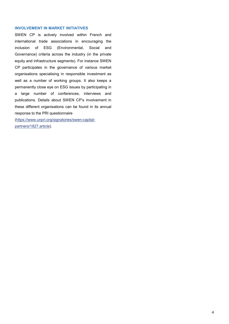#### **INVOLVEMENT IN MARKET INITIATIVES**

SWEN CP is actively involved within French and international trade associations in encouraging the inclusion of ESG (Environmental, Social and Governance) criteria across the industry (in the private equity and infrastructure segments). For instance SWEN CP participates in the governance of various market organisations specialising in responsible investment as well as a number of working groups. It also keeps a permanently close eye on ESG issues by participating in a large number of conferences, interviews and publications. Details about SWEN CP's involvement in these different organisations can be found in its annual response to the PRI questionnaire

[\(https://www.unpri.org/signatories/swen-capital](https://www.unpri.org/signatories/swen-capital-partners/1827.article)partners/1827.article).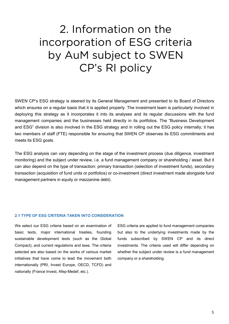# 2. Information on the incorporation of ESG criteria by AuM subject to SWEN CP's RI policy

SWEN CP's ESG strategy is steered by its General Management and presented to its Board of Directors which ensures on a regular basis that it is applied properly. The investment team is particularly involved in deploying this strategy as it incorporates it into its analyses and its regular discussions with the fund management companies and the businesses held directly in its portfolios. The "Business Development and ESG" division is also involved in the ESG strategy and in rolling out the ESG policy internally; it has two members of staff (FTE) responsible for ensuring that SWEN CP observes its ESG commitments and meets its ESG goals.

The ESG analysis can vary depending on the stage of the investment process (due diligence, investment monitoring) and the subject under review, i.e. a fund management company or shareholding / asset. But it can also depend on the type of transaction: primary transaction (selection of investment funds), secondary transaction (acquisition of fund units or portfolios) or co-investment (direct investment made alongside fund management partners in equity or mezzanine debt).

#### **2.1 TYPE OF ESG CRITERIA TAKEN INTO CONSIDERATION**

We select our ESG criteria based on an examination of basic texts, major international treaties, founding sustainable development texts (such as the Global Compact), and current regulations and laws. The criteria selected are also based on the works of various market initiatives that have come to lead the movement both internationally (PRI, Invest Europe, OECD, TCFD) and nationally (France Invest, Afep-Medef, etc.).

ESG criteria are applied to fund management companies but also to the underlying investments made by the funds subscribed by SWEN CP and its direct investments. The criteria used will differ depending on whether the subject under review is a fund management company or a shareholding.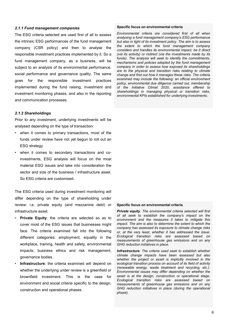#### *2.1.1 Fund management companies*

The ESG criteria selected are used first of all to assess the intrinsic ESG performances of the fund management company (CSR policy) and then to analyse the responsible investment practices implemented by it. So a fund management company, as a business, will be subject to an analysis of its environmental performance, social performance and governance quality. The same goes for the responsible investment practices implemented during the fund raising, investment and investment monitoring phases, and also in the reporting and communication processes.

#### *2.1.2 Shareholdings*

Prior to any investment, underlying investments will be analysed depending on the type of transaction:

- when it comes to primary transactions, most of the funds under review have not yet begun to roll out an ESG strategy.
- when it comes to secondary transactions and coinvestments, ESG analysis will focus on the most material ESG issues and take into consideration the sector and size of the business / infrastructure asset. So ESG criteria are customised.

The ESG criteria used during investment monitoring will differ depending on the type of shareholding under review: i.e. private equity (and mezzanine debt) or infrastructure asset.

- **Private Equity**: the criteria are selected so as to cover most of the ESG issues that businesses might face. The criteria examined fall into the following different categories: employment, equality in the workplace, training, health and safety, environmental impacts, business ethics and risk management, governance bodies.
- **Infrastructure**: the criteria examined will depend on whether the underlying under review is a greenfield or brownfield investment. This is the case for environment and social criteria specific to the design, construction and operational phases.

#### **Specific focus on environmental criteria**

*Environmental criteria are considered first of all when analysing a fund management company's ESG performance but also in light of its investment policy. The aim is to assess the extent to which the fund management company considers and handles its environmental impact, be it direct (via its activity) or indirect (via the investments made by its funds). The analysis will seek to identify the commitments, mechanisms and policies adopted by the fund management company in order to assess how exposed its shareholdings are to the physical and transition risks relating to climate change and find out how it manages these risks. The criteria examined may include the following: an official environment policy, environmental due diligence carried out, membership of the Initiative Climat 2020, assistance offered to shareholdings in managing physical or transition risks, environmental KPIs established for underlying investments.*

#### **Specific focus on environmental criteria**

*Private equity. The environmental criteria selected will first of all seek to establish the company's impact on the environment and the measures it takes to mitigate this impact. The aim is also to determine the extent to which the company has assessed its exposure to climate change risks or, at the very least, whether it has addressed the issue. Ecological transition risks are assessed based on measurements of greenhouse gas emissions and on any GHG reduction initiatives in place.*

*Infrastructure. The criteria used seek to establish whether climate change impacts have been assessed but also whether the project or asset is implicitly involved in the ecological transition process on account of its field of activity (renewable energy, waste treatment and recycling, etc.). Environmental issues may differ depending on whether the asset is at the design, construction or operational stage. Ecological transition risks are assessed based on measurements of greenhouse gas emissions and on any GHG reduction initiatives in place (during the operational phase).*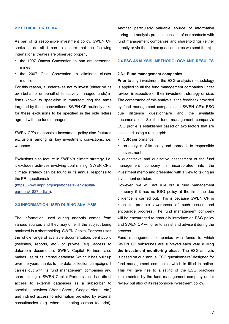#### **2.2 ETHICAL CRITERIA**

As part of its responsible investment policy, SWEN CP seeks to do all it can to ensure that the following international treaties are observed properly:

- the 1997 Ottawa Convention to ban anti-personnel mines.
- the 2007 Oslo Convention to eliminate cluster munitions.

For this reason, it undertakes not to invest (either on its own behalf or on behalf of its actively managed funds) in firms known to specialise in manufacturing the arms targeted by these conventions. SWEN CP routinely asks for these exclusions to be specified in the side letters agreed with the fund managers.

SWEN CP's responsible investment policy also features exclusions among its key investment convictions, i.e. weapons.

Exclusions also feature in SWEN's climate strategy, i.e. it excludes activities involving coal mining. SWEN CP's climate strategy can be found in its annual response to the PRI questionnaire

[\(https://www.unpri.org/signatories/swen-capital](https://www.unpri.org/signatories/swen-capital-partners/1827.article)partners/1827.article).

#### **2.3 INFORMATION USED DURING ANALYSIS**

The information used during analysis comes from various sources and they may differ if the subject being analysed is a shareholding. SWEN Capital Partners uses the whole range of available documentation, be it public (websites, reports, etc.) or private (e.g. access to dataroom documents). SWEN Capital Partners also makes use of its internal database (which it has built up over the years thanks to the data collection campaigns it carries out with its fund management companies and shareholdings). SWEN Capital Partners also has direct access to external databases as a subscriber to specialist services (World-Check, Google Alerts, etc.) and indirect access to information provided by external consultancies (e.g. when estimating carbon footprint).

Another particularly valuable source of information during the analysis process consists of our contacts with fund management companies and shareholdings (either directly or via the ad hoc questionnaires we send them).

#### **2.4 ESG ANALYSIS: METHODOLOGY AND RESULTS**

#### **2.3.1 Fund management companies**

**Prior** to any investment, the ESG analysis methodology is applied to all the fund management companies under review, irrespective of their investment strategy or size. The cornerstone of this analysis is the feedback provided by fund management companies to SWEN CP's ESG due diligence questionnaire and the available documentation. So the fund management company's ESG profile is established based on two factors that are assessed using a rating grid:

- CSR performance
- an analysis of its policy and approach to responsible investment

A quantitative and qualitative assessment of the fund management company is incorporated into the investment memo and presented with a view to taking an investment decision.

However, we will not rule out a fund management company if it has no ESG policy at the time the due diligence is carried out. This is because SWEN CP is keen to promote awareness of such issues and encourage progress. The fund management company will be encouraged to gradually introduce an ESG policy and SWEN CP will offer to assist and advise it during the process.

Fund management companies with funds to which SWEN CP subscribes are surveyed each year **during the investment monitoring phase**. The ESG analysis is based on our "annual ESG questionnaire" designed for fund management companies which is filled in online. This will give rise to a rating of the ESG practices implemented by the fund management company under review but also of its responsible investment policy.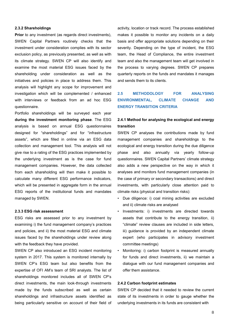#### **2.3.2 Shareholdings**

**Prior** to any investment (as regards direct investments), SWEN Capital Partners routinely checks that the investment under consideration complies with its sector exclusion policy, as previously presented, as well as with its climate strategy. SWEN CP will also identify and examine the most material ESG issues faced by the shareholding under consideration as well as the initiatives and policies in place to address them. This analysis will highlight any scope for improvement and investigation which will be complemented / enhanced with interviews or feedback from an ad hoc ESG questionnaire.

Portfolio shareholdings will be surveyed each year **during the investment monitoring phase**. The ESG analysis is based on annual ESG questionnaires designed for "shareholdings" and for "infrastructure assets", which are filled in online via an ESG data collection and management tool. This analysis will not give rise to a rating of the ESG practices implemented by the underlying investment as is the case for fund management companies. However, the data collected from each shareholding will then make it possible to calculate many different ESG performance indicators, which will be presented in aggregate form in the annual ESG reports of the institutional funds and mandates managed by SWEN.

#### **2.3.3 ESG risk assessment**

ESG risks are assessed prior to any investment by examining i) the fund management company's practices and policies, and ii) the most material ESG and climate issues faced by the shareholdings under review along with the feedback they have provided.

SWEN CP also introduced an ESG incident monitoring system in 2017. This system is monitored internally by SWEN CP's ESG team but also benefits from the expertise of OFI AM's team of SRI analysts. The list of shareholdings monitored includes all of SWEN CP's direct investments, the main look-through investments made by the funds subscribed as well as certain shareholdings and infrastructure assets identified as being particularly sensitive on account of their field of activity, location or track record. The process established makes it possible to monitor any incidents on a daily basis and offer appropriate solutions depending on their severity. Depending on the type of incident, the ESG team, the Head of Compliance, the entire investment team and also the management team will get involved in the process to varying degrees. SWEN CP prepares quarterly reports on the funds and mandates it manages and sends them to its clients.

## **2.5 METHODOLOGY FOR ANALYSING ENVIRONMENTAL, CLIMATE CHANGE AND ENERGY TRANSITION CRITERIA**

## **2.4.1 Method for analysing the ecological and energy transition**

SWEN CP analyses the contributions made by fund management companies and shareholdings to the ecological and energy transition during the due diligence phase and also annually via yearly follow-up questionnaires. SWEN Capital Partners' climate strategy also adds a new perspective on the way in which it analyses and monitors fund management companies (in the case of primary or secondary transactions) and direct investments, with particularly close attention paid to climate risks (physical and transition risks):

- Due diligence: i) coal mining activities are excluded and ii) climate risks are analysed
- Investments: i) investments are directed towards assets that contribute to the energy transition, ii) "climate" review clauses are included in side letters, iii) guidance is provided by an independent climate expert (who participates in advisory investment committee meetings)
- Monitoring: i) carbon footprint is measured annually for funds and direct investments, ii) we maintain a dialogue with our fund management companies and offer them assistance.

#### **2.4.2 Carbon footprint estimates**

SWEN CP decided that it needed to review the current state of its investments in order to gauge whether the underlying investments in its funds are consistent with